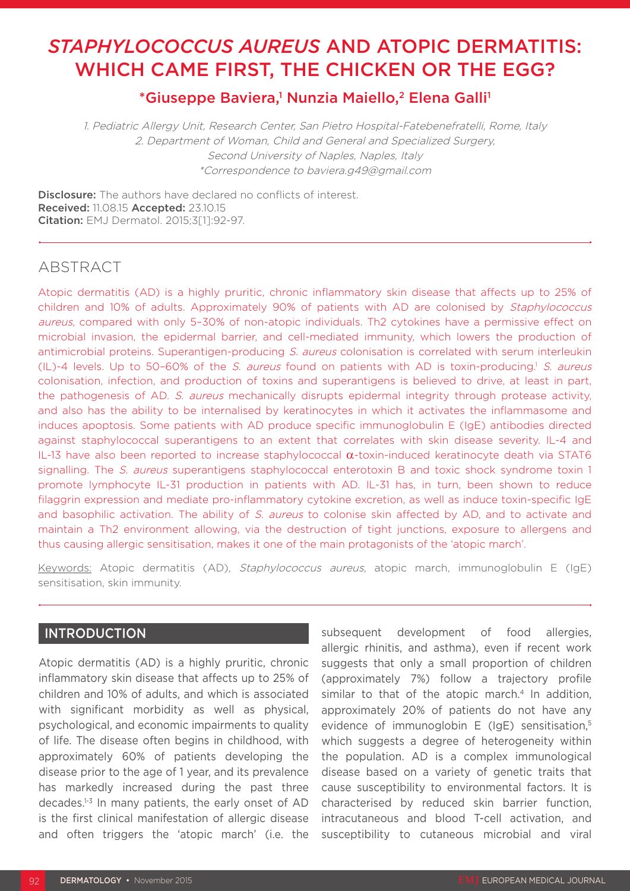# *STAPHYLOCOCCUS AUREUS* AND ATOPIC DERMATITIS: WHICH CAME FIRST, THE CHICKEN OR THE EGG?

# \*Giuseppe Baviera,<sup>1</sup> Nunzia Maiello,<sup>2</sup> Elena Galli<sup>1</sup>

1. Pediatric Allergy Unit, Research Center, San Pietro Hospital-Fatebenefratelli, Rome, Italy 2. Department of Woman, Child and General and Specialized Surgery, Second University of Naples, Naples, Italy \*Correspondence to baviera.g49@gmail.com

**Disclosure:** The authors have declared no conflicts of interest. Received: 11.08.15 Accepted: 23.10.15 Citation: EMJ Dermatol. 2015;3[1]:92-97.

# ABSTRACT

Atopic dermatitis (AD) is a highly pruritic, chronic inflammatory skin disease that affects up to 25% of children and 10% of adults. Approximately 90% of patients with AD are colonised by Staphylococcus aureus, compared with only 5-30% of non-atopic individuals. Th2 cytokines have a permissive effect on microbial invasion, the epidermal barrier, and cell-mediated immunity, which lowers the production of antimicrobial proteins. Superantigen-producing S. aureus colonisation is correlated with serum interleukin  $(IL)-4$  levels. Up to 50-60% of the S. aureus found on patients with AD is toxin-producing.<sup>1</sup> S. aureus colonisation, infection, and production of toxins and superantigens is believed to drive, at least in part, the pathogenesis of AD. S. aureus mechanically disrupts epidermal integrity through protease activity, and also has the ability to be internalised by keratinocytes in which it activates the inflammasome and induces apoptosis. Some patients with AD produce specific immunoglobulin E (IgE) antibodies directed against staphylococcal superantigens to an extent that correlates with skin disease severity. IL-4 and IL-13 have also been reported to increase staphylococcal  $α$ -toxin-induced keratinocyte death via STAT6 signalling. The S. aureus superantigens staphylococcal enterotoxin B and toxic shock syndrome toxin 1 promote lymphocyte IL-31 production in patients with AD. IL-31 has, in turn, been shown to reduce filaggrin expression and mediate pro-inflammatory cytokine excretion, as well as induce toxin-specific IgE and basophilic activation. The ability of S. aureus to colonise skin affected by AD, and to activate and maintain a Th2 environment allowing, via the destruction of tight junctions, exposure to allergens and thus causing allergic sensitisation, makes it one of the main protagonists of the 'atopic march'.

Keywords: Atopic dermatitis (AD), Staphylococcus aureus, atopic march, immunoglobulin E (IgE) sensitisation, skin immunity.

### INTRODUCTION

Atopic dermatitis (AD) is a highly pruritic, chronic inflammatory skin disease that affects up to 25% of children and 10% of adults, and which is associated with significant morbidity as well as physical, psychological, and economic impairments to quality of life. The disease often begins in childhood, with approximately 60% of patients developing the disease prior to the age of 1 year, and its prevalence has markedly increased during the past three decades.<sup>1-3</sup> In many patients, the early onset of AD is the first clinical manifestation of allergic disease and often triggers the 'atopic march' (i.e. the

subsequent development of food allergies, allergic rhinitis, and asthma), even if recent work suggests that only a small proportion of children (approximately 7%) follow a trajectory profile similar to that of the atopic march.<sup>4</sup> In addition, approximately 20% of patients do not have any evidence of immunoglobin E (IgE) sensitisation.<sup>5</sup> which suggests a degree of heterogeneity within the population. AD is a complex immunological disease based on a variety of genetic traits that cause susceptibility to environmental factors. It is characterised by reduced skin barrier function, intracutaneous and blood T-cell activation, and susceptibility to cutaneous microbial and viral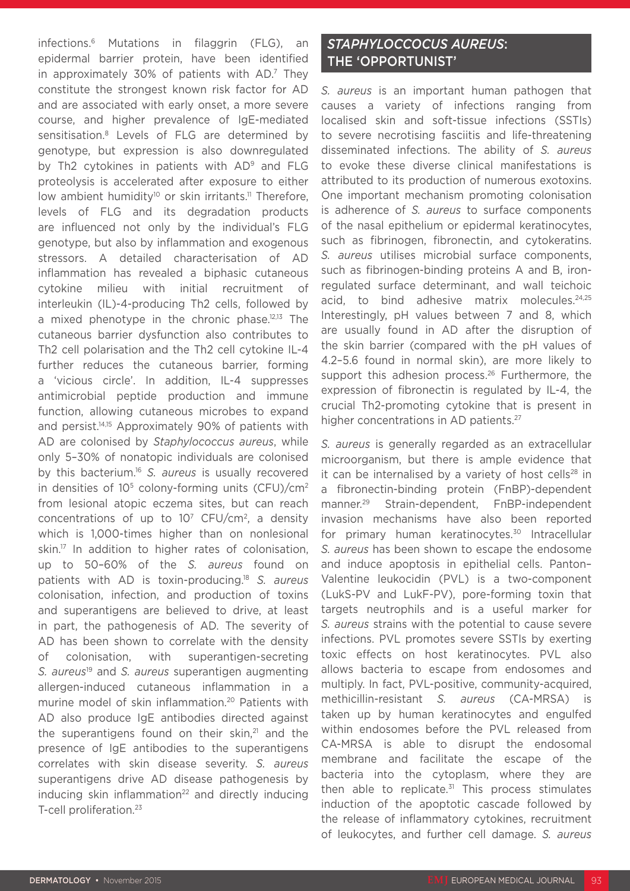infections.6 Mutations in filaggrin (FLG), an epidermal barrier protein, have been identified in approximately 30% of patients with  $AD^7$  They constitute the strongest known risk factor for AD and are associated with early onset, a more severe course, and higher prevalence of IgE-mediated sensitisation.8 Levels of FLG are determined by genotype, but expression is also downregulated by Th2 cytokines in patients with AD<sup>9</sup> and FLG proteolysis is accelerated after exposure to either low ambient humidity<sup>10</sup> or skin irritants.<sup>11</sup> Therefore, levels of FLG and its degradation products are influenced not only by the individual's FLG genotype, but also by inflammation and exogenous stressors. A detailed characterisation of AD inflammation has revealed a biphasic cutaneous cytokine milieu with initial recruitment of interleukin (IL)-4-producing Th2 cells, followed by a mixed phenotype in the chronic phase.<sup>12,13</sup> The cutaneous barrier dysfunction also contributes to Th2 cell polarisation and the Th2 cell cytokine IL-4 further reduces the cutaneous barrier, forming a 'vicious circle'. In addition, IL-4 suppresses antimicrobial peptide production and immune function, allowing cutaneous microbes to expand and persist.14,15 Approximately 90% of patients with AD are colonised by *Staphylococcus aureus*, while only 5–30% of nonatopic individuals are colonised by this bacterium.16 *S. aureus* is usually recovered in densities of  $10^5$  colony-forming units (CFU)/cm<sup>2</sup> from lesional atopic eczema sites, but can reach concentrations of up to 107 CFU/cm2, a density which is 1,000-times higher than on nonlesional skin.<sup>17</sup> In addition to higher rates of colonisation, up to 50–60% of the *S. aureus* found on patients with AD is toxin-producing.18 *S. aureus* colonisation, infection, and production of toxins and superantigens are believed to drive, at least in part, the pathogenesis of AD. The severity of AD has been shown to correlate with the density of colonisation, with superantigen-secreting *S. aureus*19 and *S. aureus* superantigen augmenting allergen-induced cutaneous inflammation in a murine model of skin inflammation.<sup>20</sup> Patients with AD also produce IgE antibodies directed against the superantigens found on their skin, $21$  and the presence of IgE antibodies to the superantigens correlates with skin disease severity. *S. aureus* superantigens drive AD disease pathogenesis by inducing skin inflammation $22$  and directly inducing T-cell proliferation.<sup>23</sup>

## *STAPHYLOCCOCUS AUREUS*: THE 'OPPORTUNIST'

*S. aureus* is an important human pathogen that causes a variety of infections ranging from localised skin and soft-tissue infections (SSTIs) to severe necrotising fasciitis and life-threatening disseminated infections. The ability of *S. aureus* to evoke these diverse clinical manifestations is attributed to its production of numerous exotoxins. One important mechanism promoting colonisation is adherence of *S. aureus* to surface components of the nasal epithelium or epidermal keratinocytes, such as fibrinogen, fibronectin, and cytokeratins. *S. aureus* utilises microbial surface components, such as fibrinogen-binding proteins A and B, ironregulated surface determinant, and wall teichoic acid, to bind adhesive matrix molecules.<sup>24,25</sup> Interestingly, pH values between 7 and 8, which are usually found in AD after the disruption of the skin barrier (compared with the pH values of 4.2–5.6 found in normal skin), are more likely to support this adhesion process.<sup>26</sup> Furthermore, the expression of fibronectin is regulated by IL-4, the crucial Th2-promoting cytokine that is present in higher concentrations in AD patients.<sup>27</sup>

*S. aureus* is generally regarded as an extracellular microorganism, but there is ample evidence that it can be internalised by a variety of host cells<sup>28</sup> in a fibronectin-binding protein (FnBP)-dependent manner.29 Strain-dependent, FnBP-independent invasion mechanisms have also been reported for primary human keratinocytes.<sup>30</sup> Intracellular *S. aureus* has been shown to escape the endosome and induce apoptosis in epithelial cells. Panton– Valentine leukocidin (PVL) is a two-component (LukS-PV and LukF-PV), pore-forming toxin that targets neutrophils and is a useful marker for *S. aureus* strains with the potential to cause severe infections. PVL promotes severe SSTIs by exerting toxic effects on host keratinocytes. PVL also allows bacteria to escape from endosomes and multiply. In fact, PVL-positive, community-acquired, methicillin-resistant *S. aureus* (CA-MRSA) is taken up by human keratinocytes and engulfed within endosomes before the PVL released from CA-MRSA is able to disrupt the endosomal membrane and facilitate the escape of the bacteria into the cytoplasm, where they are then able to replicate. $31$  This process stimulates induction of the apoptotic cascade followed by the release of inflammatory cytokines, recruitment of leukocytes, and further cell damage. *S. aureus*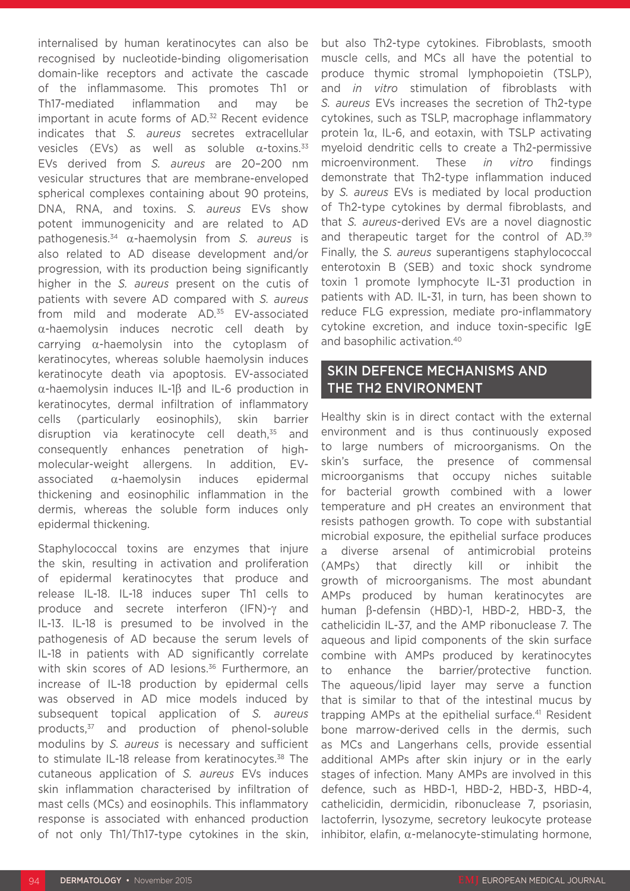internalised by human keratinocytes can also be recognised by nucleotide-binding oligomerisation domain-like receptors and activate the cascade of the inflammasome. This promotes Th1 or Th17-mediated inflammation and may be important in acute forms of AD.<sup>32</sup> Recent evidence indicates that *S. aureus* secretes extracellular vesicles (EVs) as well as soluble  $\alpha$ -toxins.<sup>33</sup> EVs derived from *S. aureus* are 20–200 nm vesicular structures that are membrane-enveloped spherical complexes containing about 90 proteins, DNA, RNA, and toxins. *S. aureus* EVs show potent immunogenicity and are related to AD pathogenesis.34 α-haemolysin from *S. aureus* is also related to AD disease development and/or progression, with its production being significantly higher in the *S. aureus* present on the cutis of patients with severe AD compared with *S. aureus* from mild and moderate AD.<sup>35</sup> EV-associated α-haemolysin induces necrotic cell death by carrying α-haemolysin into the cytoplasm of keratinocytes, whereas soluble haemolysin induces keratinocyte death via apoptosis. EV-associated α-haemolysin induces IL-1β and IL-6 production in keratinocytes, dermal infiltration of inflammatory cells (particularly eosinophils), skin barrier disruption via keratinocyte cell death,<sup>35</sup> and consequently enhances penetration of highmolecular-weight allergens. In addition, EVassociated α-haemolysin induces epidermal thickening and eosinophilic inflammation in the dermis, whereas the soluble form induces only epidermal thickening.

Staphylococcal toxins are enzymes that injure the skin, resulting in activation and proliferation of epidermal keratinocytes that produce and release IL-18. IL-18 induces super Th1 cells to produce and secrete interferon (IFN)-γ and IL-13. IL-18 is presumed to be involved in the pathogenesis of AD because the serum levels of IL-18 in patients with AD significantly correlate with skin scores of AD lesions.<sup>36</sup> Furthermore, an increase of IL-18 production by epidermal cells was observed in AD mice models induced by subsequent topical application of *S. aureus* products,37 and production of phenol-soluble modulins by *S. aureus* is necessary and sufficient to stimulate IL-18 release from keratinocytes.<sup>38</sup> The cutaneous application of *S. aureus* EVs induces skin inflammation characterised by infiltration of mast cells (MCs) and eosinophils. This inflammatory response is associated with enhanced production of not only Th1/Th17-type cytokines in the skin,

but also Th2-type cytokines. Fibroblasts, smooth muscle cells, and MCs all have the potential to produce thymic stromal lymphopoietin (TSLP), and *in vitro* stimulation of fibroblasts with *S. aureus* EVs increases the secretion of Th2-type cytokines, such as TSLP, macrophage inflammatory protein 1α, IL-6, and eotaxin, with TSLP activating myeloid dendritic cells to create a Th2-permissive microenvironment. These *in vitro* findings demonstrate that Th2-type inflammation induced by *S. aureus* EVs is mediated by local production of Th2-type cytokines by dermal fibroblasts, and that *S. aureus*-derived EVs are a novel diagnostic and therapeutic target for the control of AD.<sup>39</sup> Finally, the *S. aureus* superantigens staphylococcal enterotoxin B (SEB) and toxic shock syndrome toxin 1 promote lymphocyte IL-31 production in patients with AD. IL-31, in turn, has been shown to reduce FLG expression, mediate pro-inflammatory cytokine excretion, and induce toxin-specific IgE and basophilic activation.40

## SKIN DEFENCE MECHANISMS AND THE TH2 ENVIRONMENT

Healthy skin is in direct contact with the external environment and is thus continuously exposed to large numbers of microorganisms. On the skin's surface, the presence of commensal microorganisms that occupy niches suitable for bacterial growth combined with a lower temperature and pH creates an environment that resists pathogen growth. To cope with substantial microbial exposure, the epithelial surface produces a diverse arsenal of antimicrobial proteins (AMPs) that directly kill or inhibit the growth of microorganisms. The most abundant AMPs produced by human keratinocytes are human β-defensin (HBD)-1, HBD-2, HBD-3, the cathelicidin IL-37, and the AMP ribonuclease 7. The aqueous and lipid components of the skin surface combine with AMPs produced by keratinocytes to enhance the barrier/protective function. The aqueous/lipid layer may serve a function that is similar to that of the intestinal mucus by trapping AMPs at the epithelial surface.<sup>41</sup> Resident bone marrow-derived cells in the dermis, such as MCs and Langerhans cells, provide essential additional AMPs after skin injury or in the early stages of infection. Many AMPs are involved in this defence, such as HBD-1, HBD-2, HBD-3, HBD-4, cathelicidin, dermicidin, ribonuclease 7, psoriasin, lactoferrin, lysozyme, secretory leukocyte protease inhibitor, elafin,  $α$ -melanocyte-stimulating hormone,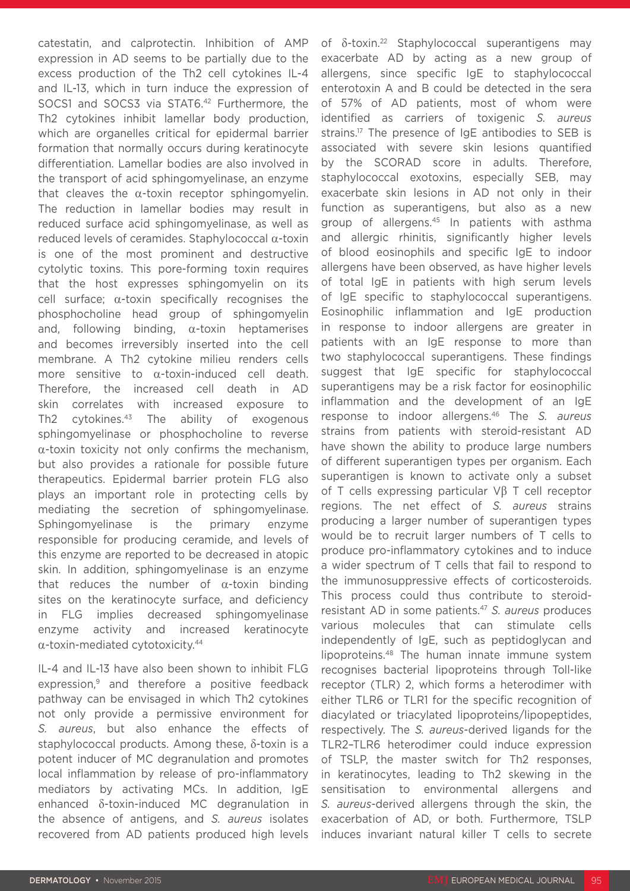catestatin, and calprotectin. Inhibition of AMP expression in AD seems to be partially due to the excess production of the Th2 cell cytokines IL-4 and IL-13, which in turn induce the expression of SOCS1 and SOCS3 via STAT6.42 Furthermore, the Th2 cytokines inhibit lamellar body production, which are organelles critical for epidermal barrier formation that normally occurs during keratinocyte differentiation. Lamellar bodies are also involved in the transport of acid sphingomyelinase, an enzyme that cleaves the  $\alpha$ -toxin receptor sphingomyelin. The reduction in lamellar bodies may result in reduced surface acid sphingomyelinase, as well as reduced levels of ceramides. Staphylococcal α-toxin is one of the most prominent and destructive cytolytic toxins. This pore-forming toxin requires that the host expresses sphingomyelin on its cell surface; α-toxin specifically recognises the phosphocholine head group of sphingomyelin and, following binding,  $\alpha$ -toxin heptamerises and becomes irreversibly inserted into the cell membrane. A Th2 cytokine milieu renders cells more sensitive to α-toxin-induced cell death. Therefore, the increased cell death in AD skin correlates with increased exposure to Th2 cytokines.<sup>43</sup> The ability of exogenous sphingomyelinase or phosphocholine to reverse  $\alpha$ -toxin toxicity not only confirms the mechanism, but also provides a rationale for possible future therapeutics. Epidermal barrier protein FLG also plays an important role in protecting cells by mediating the secretion of sphingomyelinase. Sphingomyelinase is the primary enzyme responsible for producing ceramide, and levels of this enzyme are reported to be decreased in atopic skin. In addition, sphingomyelinase is an enzyme that reduces the number of  $\alpha$ -toxin binding sites on the keratinocyte surface, and deficiency in FLG implies decreased sphingomyelinase enzyme activity and increased keratinocyte α-toxin-mediated cytotoxicity.44

IL-4 and IL-13 have also been shown to inhibit FLG expression,<sup>9</sup> and therefore a positive feedback pathway can be envisaged in which Th2 cytokines not only provide a permissive environment for *S. aureus*, but also enhance the effects of staphylococcal products. Among these, δ-toxin is a potent inducer of MC degranulation and promotes local inflammation by release of pro-inflammatory mediators by activating MCs. In addition, IgE enhanced δ-toxin-induced MC degranulation in the absence of antigens, and *S. aureus* isolates recovered from AD patients produced high levels

of δ-toxin.22 Staphylococcal superantigens may exacerbate AD by acting as a new group of allergens, since specific IgE to staphylococcal enterotoxin A and B could be detected in the sera of 57% of AD patients, most of whom were identified as carriers of toxigenic *S. aureus* strains.<sup>17</sup> The presence of IgE antibodies to SEB is associated with severe skin lesions quantified by the SCORAD score in adults. Therefore, staphylococcal exotoxins, especially SEB, may exacerbate skin lesions in AD not only in their function as superantigens, but also as a new group of allergens.45 In patients with asthma and allergic rhinitis, significantly higher levels of blood eosinophils and specific IgE to indoor allergens have been observed, as have higher levels of total IgE in patients with high serum levels of IgE specific to staphylococcal superantigens. Eosinophilic inflammation and IgE production in response to indoor allergens are greater in patients with an IgE response to more than two staphylococcal superantigens. These findings suggest that IgE specific for staphylococcal superantigens may be a risk factor for eosinophilic inflammation and the development of an IgE response to indoor allergens.46 The *S. aureus* strains from patients with steroid-resistant AD have shown the ability to produce large numbers of different superantigen types per organism. Each superantigen is known to activate only a subset of T cells expressing particular Vβ T cell receptor regions. The net effect of *S. aureus* strains producing a larger number of superantigen types would be to recruit larger numbers of T cells to produce pro-inflammatory cytokines and to induce a wider spectrum of T cells that fail to respond to the immunosuppressive effects of corticosteroids. This process could thus contribute to steroidresistant AD in some patients.47 *S. aureus* produces various molecules that can stimulate cells independently of IgE, such as peptidoglycan and lipoproteins.48 The human innate immune system recognises bacterial lipoproteins through Toll-like receptor (TLR) 2, which forms a heterodimer with either TLR6 or TLR1 for the specific recognition of diacylated or triacylated lipoproteins/lipopeptides, respectively. The *S. aureus*-derived ligands for the TLR2–TLR6 heterodimer could induce expression of TSLP, the master switch for Th2 responses, in keratinocytes, leading to Th2 skewing in the sensitisation to environmental allergens and *S. aureus*-derived allergens through the skin, the exacerbation of AD, or both. Furthermore, TSLP induces invariant natural killer T cells to secrete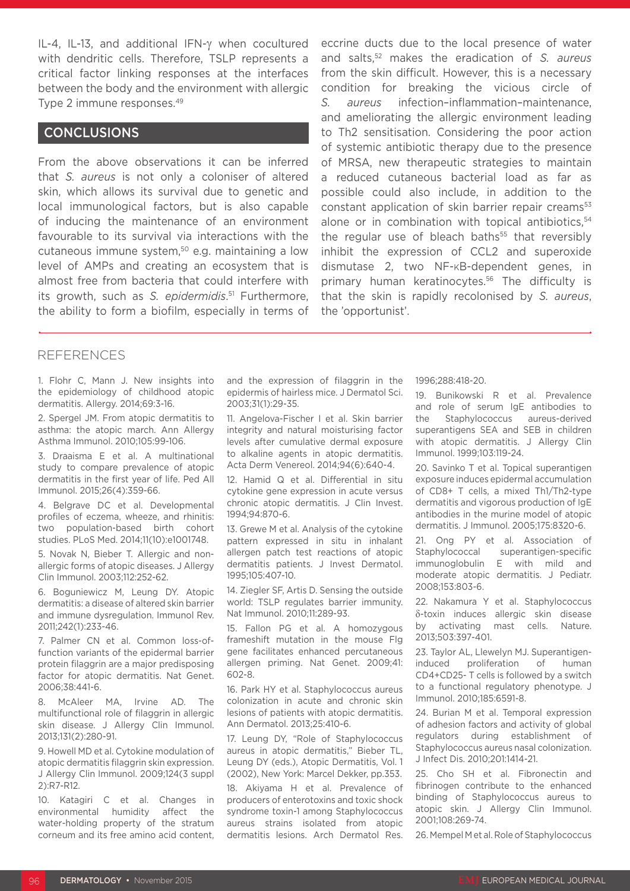IL-4, IL-13, and additional IFN-γ when cocultured with dendritic cells. Therefore, TSLP represents a critical factor linking responses at the interfaces between the body and the environment with allergic Type 2 immune responses.49

#### **CONCLUSIONS**

From the above observations it can be inferred that *S. aureus* is not only a coloniser of altered skin, which allows its survival due to genetic and local immunological factors, but is also capable of inducing the maintenance of an environment favourable to its survival via interactions with the cutaneous immune system,50 e.g. maintaining a low level of AMPs and creating an ecosystem that is almost free from bacteria that could interfere with its growth, such as *S. epidermidis*. 51 Furthermore, the ability to form a biofilm, especially in terms of

eccrine ducts due to the local presence of water and salts,52 makes the eradication of *S. aureus* from the skin difficult. However, this is a necessary condition for breaking the vicious circle of *S. aureus* infection–inflammation–maintenance, and ameliorating the allergic environment leading to Th2 sensitisation. Considering the poor action of systemic antibiotic therapy due to the presence of MRSA, new therapeutic strategies to maintain a reduced cutaneous bacterial load as far as possible could also include, in addition to the constant application of skin barrier repair creams<sup>53</sup> alone or in combination with topical antibiotics, $54$ the regular use of bleach baths<sup>55</sup> that reversibly inhibit the expression of CCL2 and superoxide dismutase 2, two NF-KB-dependent genes, in primary human keratinocytes.<sup>56</sup> The difficulty is that the skin is rapidly recolonised by *S. aureus*, the 'opportunist'.

#### REFERENCES

1. Flohr C, Mann J. New insights into the epidemiology of childhood atopic dermatitis. Allergy. 2014;69:3-16.

2. Spergel JM. From atopic dermatitis to asthma: the atopic march. Ann Allergy Asthma Immunol. 2010;105:99-106.

3. Draaisma E et al. A multinational study to compare prevalence of atopic dermatitis in the first year of life. Ped All Immunol. 2015;26(4):359-66.

4. Belgrave DC et al. Developmental profiles of eczema, wheeze, and rhinitis: two population-based birth cohort studies. PLoS Med. 2014;11(10):e1001748.

5. Novak N, Bieber T. Allergic and nonallergic forms of atopic diseases. J Allergy Clin Immunol. 2003;112:252-62.

6. Boguniewicz M, Leung DY. Atopic dermatitis: a disease of altered skin barrier and immune dysregulation. Immunol Rev. 2011;242(1):233-46.

7. Palmer CN et al. Common loss-offunction variants of the epidermal barrier protein filaggrin are a major predisposing factor for atopic dermatitis. Nat Genet. 2006;38:441-6.

8. McAleer MA, Irvine AD. The multifunctional role of filaggrin in allergic skin disease. J Allergy Clin Immunol. 2013;131(2):280-91.

9. Howell MD et al. Cytokine modulation of atopic dermatitis filaggrin skin expression. J Allergy Clin Immunol. 2009;124(3 suppl 2):R7-R12.

10. Katagiri C et al. Changes in environmental humidity affect the water-holding property of the stratum corneum and its free amino acid content, and the expression of filaggrin in the epidermis of hairless mice. J Dermatol Sci. 2003;31(1):29-35.

11. Angelova-Fischer I et al. Skin barrier integrity and natural moisturising factor levels after cumulative dermal exposure to alkaline agents in atopic dermatitis. Acta Derm Venereol. 2014;94(6):640-4.

12. Hamid Q et al. Differential in situ cytokine gene expression in acute versus chronic atopic dermatitis. J Clin Invest. 1994;94:870-6.

13. Grewe M et al. Analysis of the cytokine pattern expressed in situ in inhalant allergen patch test reactions of atopic dermatitis patients. J Invest Dermatol. 1995;105:407-10.

14. Ziegler SF, Artis D. Sensing the outside world: TSLP regulates barrier immunity. Nat Immunol. 2010;11:289-93.

15. Fallon PG et al. A homozygous frameshift mutation in the mouse Flg gene facilitates enhanced percutaneous allergen priming. Nat Genet. 2009;41: 602-8.

16. Park HY et al. Staphylococcus aureus colonization in acute and chronic skin lesions of patients with atopic dermatitis. Ann Dermatol. 2013;25:410-6.

17. Leung DY, "Role of Staphylococcus aureus in atopic dermatitis," Bieber TL, Leung DY (eds.), Atopic Dermatitis, Vol. 1 (2002), New York: Marcel Dekker, pp.353.

18. Akiyama H et al. Prevalence of producers of enterotoxins and toxic shock syndrome toxin-1 among Staphylococcus aureus strains isolated from atopic dermatitis lesions. Arch Dermatol Res. 1996;288:418-20.

19. Bunikowski R et al. Prevalence and role of serum IgE antibodies to the Staphylococcus aureus-derived superantigens SEA and SEB in children with atopic dermatitis. J Allergy Clin Immunol. 1999;103:119-24.

20. Savinko T et al. Topical superantigen exposure induces epidermal accumulation of CD8+ T cells, a mixed Th1/Th2-type dermatitis and vigorous production of IgE antibodies in the murine model of atopic dermatitis. J Immunol. 2005;175:8320-6.

21. Ong PY et al. Association of Staphylococcal superantigen-specific immunoglobulin E with mild and moderate atopic dermatitis. J Pediatr. 2008;153:803-6.

22. Nakamura Y et al. Staphylococcus δ-toxin induces allergic skin disease by activating mast cells. Nature. 2013;503:397-401.

23. Taylor AL, Llewelyn MJ. Superantigeninduced proliferation of human CD4+CD25- T cells is followed by a switch to a functional regulatory phenotype. J Immunol. 2010;185:6591-8.

24. Burian M et al. Temporal expression of adhesion factors and activity of global regulators during establishment of Staphylococcus aureus nasal colonization. J Infect Dis. 2010;201:1414-21.

25. Cho SH et al. Fibronectin and fibrinogen contribute to the enhanced binding of Staphylococcus aureus to atopic skin. J Allergy Clin Immunol. 2001;108:269-74.

26. Mempel M et al. Role of Staphylococcus